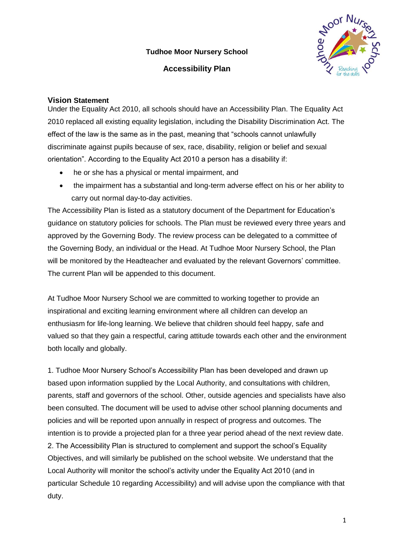**Tudhoe Moor Nursery School**

**Accessibility Plan**



# **Vision Statement**

Under the Equality Act 2010, all schools should have an Accessibility Plan. The Equality Act 2010 replaced all existing equality legislation, including the Disability Discrimination Act. The effect of the law is the same as in the past, meaning that "schools cannot unlawfully discriminate against pupils because of sex, race, disability, religion or belief and sexual orientation". According to the Equality Act 2010 a person has a disability if:

- he or she has a physical or mental impairment, and
- the impairment has a substantial and long-term adverse effect on his or her ability to carry out normal day-to-day activities.

The Accessibility Plan is listed as a statutory document of the Department for Education's guidance on statutory policies for schools. The Plan must be reviewed every three years and approved by the Governing Body. The review process can be delegated to a committee of the Governing Body, an individual or the Head. At Tudhoe Moor Nursery School, the Plan will be monitored by the Headteacher and evaluated by the relevant Governors' committee. The current Plan will be appended to this document.

At Tudhoe Moor Nursery School we are committed to working together to provide an inspirational and exciting learning environment where all children can develop an enthusiasm for life-long learning. We believe that children should feel happy, safe and valued so that they gain a respectful, caring attitude towards each other and the environment both locally and globally.

1. Tudhoe Moor Nursery School's Accessibility Plan has been developed and drawn up based upon information supplied by the Local Authority, and consultations with children, parents, staff and governors of the school. Other, outside agencies and specialists have also been consulted. The document will be used to advise other school planning documents and policies and will be reported upon annually in respect of progress and outcomes. The intention is to provide a projected plan for a three year period ahead of the next review date. 2. The Accessibility Plan is structured to complement and support the school's Equality Objectives, and will similarly be published on the school website. We understand that the Local Authority will monitor the school's activity under the Equality Act 2010 (and in particular Schedule 10 regarding Accessibility) and will advise upon the compliance with that duty.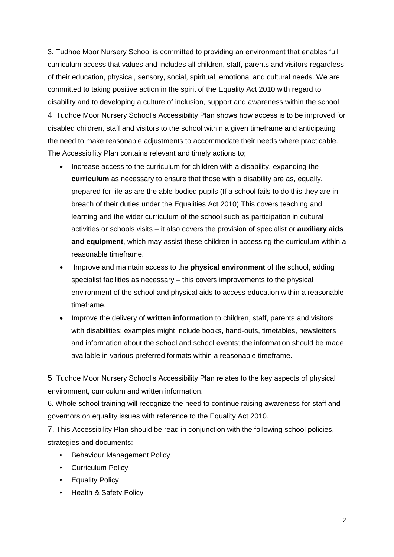3. Tudhoe Moor Nursery School is committed to providing an environment that enables full curriculum access that values and includes all children, staff, parents and visitors regardless of their education, physical, sensory, social, spiritual, emotional and cultural needs. We are committed to taking positive action in the spirit of the Equality Act 2010 with regard to disability and to developing a culture of inclusion, support and awareness within the school 4. Tudhoe Moor Nursery School's Accessibility Plan shows how access is to be improved for disabled children, staff and visitors to the school within a given timeframe and anticipating the need to make reasonable adjustments to accommodate their needs where practicable. The Accessibility Plan contains relevant and timely actions to;

- Increase access to the curriculum for children with a disability, expanding the **curriculum** as necessary to ensure that those with a disability are as, equally, prepared for life as are the able-bodied pupils (If a school fails to do this they are in breach of their duties under the Equalities Act 2010) This covers teaching and learning and the wider curriculum of the school such as participation in cultural activities or schools visits – it also covers the provision of specialist or **auxiliary aids and equipment**, which may assist these children in accessing the curriculum within a reasonable timeframe.
- Improve and maintain access to the **physical environment** of the school, adding specialist facilities as necessary – this covers improvements to the physical environment of the school and physical aids to access education within a reasonable timeframe.
- Improve the delivery of **written information** to children, staff, parents and visitors with disabilities; examples might include books, hand-outs, timetables, newsletters and information about the school and school events; the information should be made available in various preferred formats within a reasonable timeframe.

5. Tudhoe Moor Nursery School's Accessibility Plan relates to the key aspects of physical environment, curriculum and written information.

6. Whole school training will recognize the need to continue raising awareness for staff and governors on equality issues with reference to the Equality Act 2010.

7. This Accessibility Plan should be read in conjunction with the following school policies, strategies and documents:

- Behaviour Management Policy
- Curriculum Policy
- Equality Policy
- Health & Safety Policy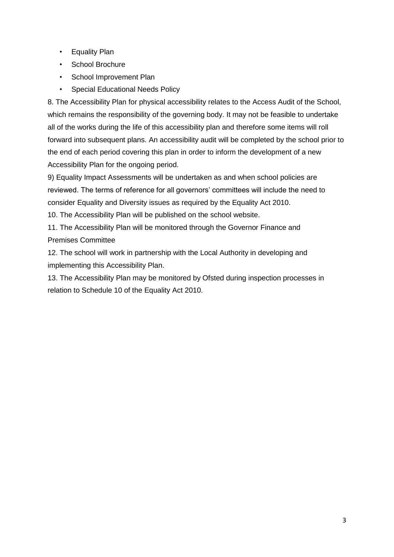- Equality Plan
- School Brochure
- School Improvement Plan
- Special Educational Needs Policy

8. The Accessibility Plan for physical accessibility relates to the Access Audit of the School, which remains the responsibility of the governing body. It may not be feasible to undertake all of the works during the life of this accessibility plan and therefore some items will roll forward into subsequent plans. An accessibility audit will be completed by the school prior to the end of each period covering this plan in order to inform the development of a new Accessibility Plan for the ongoing period.

9) Equality Impact Assessments will be undertaken as and when school policies are reviewed. The terms of reference for all governors' committees will include the need to consider Equality and Diversity issues as required by the Equality Act 2010.

10. The Accessibility Plan will be published on the school website.

11. The Accessibility Plan will be monitored through the Governor Finance and Premises Committee

12. The school will work in partnership with the Local Authority in developing and implementing this Accessibility Plan.

13. The Accessibility Plan may be monitored by Ofsted during inspection processes in relation to Schedule 10 of the Equality Act 2010.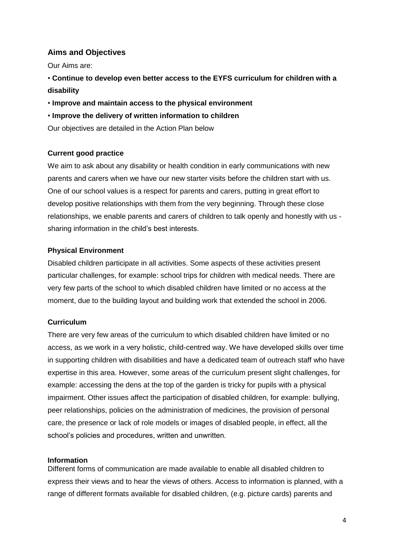## **Aims and Objectives**

Our Aims are:

- **Continue to develop even better access to the EYFS curriculum for children with a disability**
- **Improve and maintain access to the physical environment**
- **Improve the delivery of written information to children**

Our objectives are detailed in the Action Plan below

### **Current good practice**

We aim to ask about any disability or health condition in early communications with new parents and carers when we have our new starter visits before the children start with us. One of our school values is a respect for parents and carers, putting in great effort to develop positive relationships with them from the very beginning. Through these close relationships, we enable parents and carers of children to talk openly and honestly with us sharing information in the child's best interests.

### **Physical Environment**

Disabled children participate in all activities. Some aspects of these activities present particular challenges, for example: school trips for children with medical needs. There are very few parts of the school to which disabled children have limited or no access at the moment, due to the building layout and building work that extended the school in 2006.

#### **Curriculum**

There are very few areas of the curriculum to which disabled children have limited or no access, as we work in a very holistic, child-centred way. We have developed skills over time in supporting children with disabilities and have a dedicated team of outreach staff who have expertise in this area. However, some areas of the curriculum present slight challenges, for example: accessing the dens at the top of the garden is tricky for pupils with a physical impairment. Other issues affect the participation of disabled children, for example: bullying, peer relationships, policies on the administration of medicines, the provision of personal care, the presence or lack of role models or images of disabled people, in effect, all the school's policies and procedures, written and unwritten.

#### **Information**

Different forms of communication are made available to enable all disabled children to express their views and to hear the views of others. Access to information is planned, with a range of different formats available for disabled children, (e.g. picture cards) parents and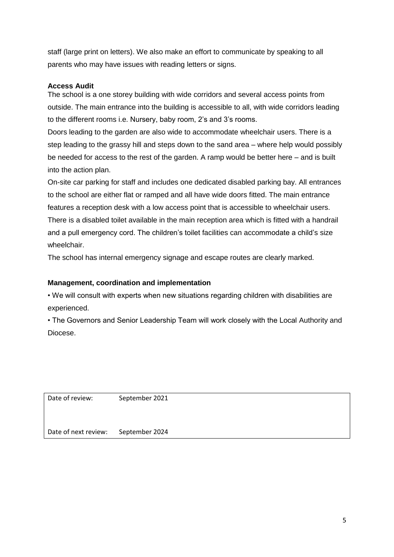staff (large print on letters). We also make an effort to communicate by speaking to all parents who may have issues with reading letters or signs.

## **Access Audit**

The school is a one storey building with wide corridors and several access points from outside. The main entrance into the building is accessible to all, with wide corridors leading to the different rooms i.e. Nursery, baby room, 2's and 3's rooms.

Doors leading to the garden are also wide to accommodate wheelchair users. There is a step leading to the grassy hill and steps down to the sand area – where help would possibly be needed for access to the rest of the garden. A ramp would be better here – and is built into the action plan.

On-site car parking for staff and includes one dedicated disabled parking bay. All entrances to the school are either flat or ramped and all have wide doors fitted. The main entrance features a reception desk with a low access point that is accessible to wheelchair users. There is a disabled toilet available in the main reception area which is fitted with a handrail and a pull emergency cord. The children's toilet facilities can accommodate a child's size wheelchair.

The school has internal emergency signage and escape routes are clearly marked.

### **Management, coordination and implementation**

• We will consult with experts when new situations regarding children with disabilities are experienced.

• The Governors and Senior Leadership Team will work closely with the Local Authority and Diocese.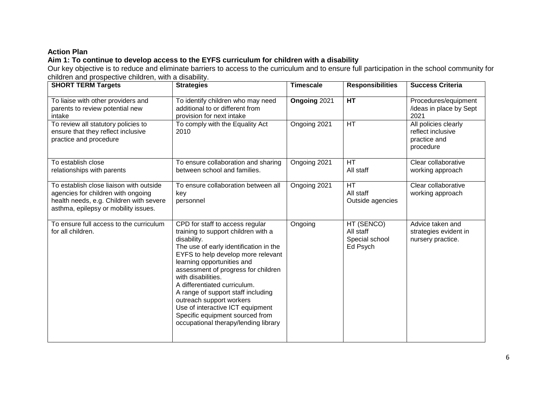# **Action Plan**

# **Aim 1: To continue to develop access to the EYFS curriculum for children with a disability**

Our key objective is to reduce and eliminate barriers to access to the curriculum and to ensure full participation in the school community for children and prospective children, with a disability.

| <b>SHORT TERM Targets</b>                                                                                                                                        | <b>Strategies</b>                                                                                                                                                                                                                                                                                                                                                                                                                                                                 | <b>Timescale</b> | <b>Responsibilities</b>                               | <b>Success Criteria</b>                                                |
|------------------------------------------------------------------------------------------------------------------------------------------------------------------|-----------------------------------------------------------------------------------------------------------------------------------------------------------------------------------------------------------------------------------------------------------------------------------------------------------------------------------------------------------------------------------------------------------------------------------------------------------------------------------|------------------|-------------------------------------------------------|------------------------------------------------------------------------|
| To liaise with other providers and<br>parents to review potential new<br>intake                                                                                  | To identify children who may need<br>additional to or different from<br>provision for next intake                                                                                                                                                                                                                                                                                                                                                                                 | Ongoing 2021     | <b>HT</b>                                             | Procedures/equipment<br>/ideas in place by Sept<br>2021                |
| To review all statutory policies to<br>ensure that they reflect inclusive<br>practice and procedure                                                              | To comply with the Equality Act<br>2010                                                                                                                                                                                                                                                                                                                                                                                                                                           | Ongoing 2021     | <b>HT</b>                                             | All policies clearly<br>reflect inclusive<br>practice and<br>procedure |
| To establish close<br>relationships with parents                                                                                                                 | To ensure collaboration and sharing<br>between school and families.                                                                                                                                                                                                                                                                                                                                                                                                               | Ongoing 2021     | <b>HT</b><br>All staff                                | Clear collaborative<br>working approach                                |
| To establish close liaison with outside<br>agencies for children with ongoing<br>health needs, e.g. Children with severe<br>asthma, epilepsy or mobility issues. | To ensure collaboration between all<br>key<br>personnel                                                                                                                                                                                                                                                                                                                                                                                                                           | Ongoing 2021     | <b>HT</b><br>All staff<br>Outside agencies            | Clear collaborative<br>working approach                                |
| To ensure full access to the curriculum<br>for all children.                                                                                                     | CPD for staff to access regular<br>training to support children with a<br>disability.<br>The use of early identification in the<br>EYFS to help develop more relevant<br>learning opportunities and<br>assessment of progress for children<br>with disabilities.<br>A differentiated curriculum.<br>A range of support staff including<br>outreach support workers<br>Use of interactive ICT equipment<br>Specific equipment sourced from<br>occupational therapy/lending library | Ongoing          | HT (SENCO)<br>All staff<br>Special school<br>Ed Psych | Advice taken and<br>strategies evident in<br>nursery practice.         |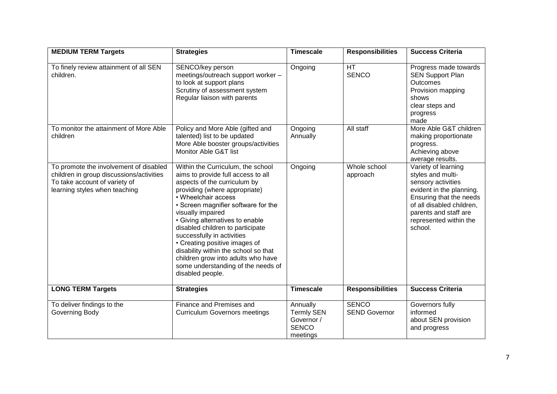| <b>MEDIUM TERM Targets</b>                                                                                                                           | <b>Strategies</b>                                                                                                                                                                                                                                                                                                                                                                                                                                                                                         | <b>Timescale</b>                                                        | <b>Responsibilities</b>              | <b>Success Criteria</b>                                                                                                                                                                                          |
|------------------------------------------------------------------------------------------------------------------------------------------------------|-----------------------------------------------------------------------------------------------------------------------------------------------------------------------------------------------------------------------------------------------------------------------------------------------------------------------------------------------------------------------------------------------------------------------------------------------------------------------------------------------------------|-------------------------------------------------------------------------|--------------------------------------|------------------------------------------------------------------------------------------------------------------------------------------------------------------------------------------------------------------|
| To finely review attainment of all SEN<br>children.                                                                                                  | SENCO/key person<br>meetings/outreach support worker -<br>to look at support plans<br>Scrutiny of assessment system<br>Regular liaison with parents                                                                                                                                                                                                                                                                                                                                                       | Ongoing                                                                 | <b>HT</b><br><b>SENCO</b>            | Progress made towards<br><b>SEN Support Plan</b><br><b>Outcomes</b><br>Provision mapping<br>shows<br>clear steps and<br>progress<br>made                                                                         |
| To monitor the attainment of More Able<br>children                                                                                                   | Policy and More Able (gifted and<br>talented) list to be updated<br>More Able booster groups/activities<br>Monitor Able G&T list                                                                                                                                                                                                                                                                                                                                                                          | Ongoing<br>Annually                                                     | All staff                            | More Able G&T children<br>making proportionate<br>progress.<br>Achieving above<br>average results.                                                                                                               |
| To promote the involvement of disabled<br>children in group discussions/activities<br>To take account of variety of<br>learning styles when teaching | Within the Curriculum, the school<br>aims to provide full access to all<br>aspects of the curriculum by<br>providing (where appropriate)<br>• Wheelchair access<br>• Screen magnifier software for the<br>visually impaired<br>• Giving alternatives to enable<br>disabled children to participate<br>successfully in activities<br>• Creating positive images of<br>disability within the school so that<br>children grow into adults who have<br>some understanding of the needs of<br>disabled people. | Ongoing                                                                 | Whole school<br>approach             | Variety of learning<br>styles and multi-<br>sensory activities<br>evident in the planning.<br>Ensuring that the needs<br>of all disabled children,<br>parents and staff are<br>represented within the<br>school. |
| <b>LONG TERM Targets</b>                                                                                                                             | <b>Strategies</b>                                                                                                                                                                                                                                                                                                                                                                                                                                                                                         | <b>Timescale</b>                                                        | <b>Responsibilities</b>              | <b>Success Criteria</b>                                                                                                                                                                                          |
| To deliver findings to the<br>Governing Body                                                                                                         | Finance and Premises and<br><b>Curriculum Governors meetings</b>                                                                                                                                                                                                                                                                                                                                                                                                                                          | Annually<br><b>Termly SEN</b><br>Governor /<br><b>SENCO</b><br>meetings | <b>SENCO</b><br><b>SEND Governor</b> | Governors fully<br>informed<br>about SEN provision<br>and progress                                                                                                                                               |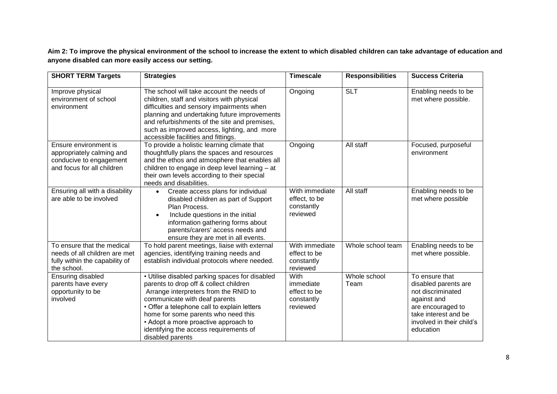**Aim 2: To improve the physical environment of the school to increase the extent to which disabled children can take advantage of education and anyone disabled can more easily access our setting.**

| <b>SHORT TERM Targets</b>                                                                                    | <b>Strategies</b>                                                                                                                                                                                                                                                                                                                                              | <b>Timescale</b>                                            | <b>Responsibilities</b> | <b>Success Criteria</b>                                                                                                                                           |
|--------------------------------------------------------------------------------------------------------------|----------------------------------------------------------------------------------------------------------------------------------------------------------------------------------------------------------------------------------------------------------------------------------------------------------------------------------------------------------------|-------------------------------------------------------------|-------------------------|-------------------------------------------------------------------------------------------------------------------------------------------------------------------|
| Improve physical<br>environment of school<br>environment                                                     | The school will take account the needs of<br>children, staff and visitors with physical<br>difficulties and sensory impairments when<br>planning and undertaking future improvements<br>and refurbishments of the site and premises,<br>such as improved access, lighting, and more<br>accessible facilities and fittings.                                     | Ongoing                                                     | <b>SLT</b>              | Enabling needs to be<br>met where possible.                                                                                                                       |
| Ensure environment is<br>appropriately calming and<br>conducive to engagement<br>and focus for all children  | To provide a holistic learning climate that<br>thoughtfully plans the spaces and resources<br>and the ethos and atmosphere that enables all<br>children to engage in deep level learning - at<br>their own levels according to their special<br>needs and disabilities.                                                                                        | Ongoing                                                     | All staff               | Focused, purposeful<br>environment                                                                                                                                |
| Ensuring all with a disability<br>are able to be involved                                                    | Create access plans for individual<br>$\bullet$<br>disabled children as part of Support<br>Plan Process.<br>Include questions in the initial<br>information gathering forms about<br>parents/carers' access needs and<br>ensure they are met in all events.                                                                                                    | With immediate<br>effect, to be<br>constantly<br>reviewed   | All staff               | Enabling needs to be<br>met where possible                                                                                                                        |
| To ensure that the medical<br>needs of all children are met<br>fully within the capability of<br>the school. | To hold parent meetings, liaise with external<br>agencies, identifying training needs and<br>establish individual protocols where needed.                                                                                                                                                                                                                      | With immediate<br>effect to be<br>constantly<br>reviewed    | Whole school team       | Enabling needs to be<br>met where possible.                                                                                                                       |
| Ensuring disabled<br>parents have every<br>opportunity to be<br>involved                                     | • Utilise disabled parking spaces for disabled<br>parents to drop off & collect children<br>Arrange interpreters from the RNID to<br>communicate with deaf parents<br>• Offer a telephone call to explain letters<br>home for some parents who need this<br>• Adopt a more proactive approach to<br>identifying the access requirements of<br>disabled parents | With<br>immediate<br>effect to be<br>constantly<br>reviewed | Whole school<br>Team    | To ensure that<br>disabled parents are<br>not discriminated<br>against and<br>are encouraged to<br>take interest and be<br>involved in their child's<br>education |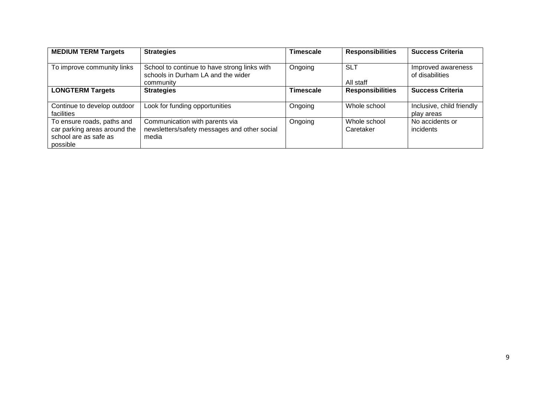| <b>MEDIUM TERM Targets</b>                                                                      | <b>Strategies</b>                                                                               | <b>Timescale</b> | <b>Responsibilities</b>   | <b>Success Criteria</b>                 |
|-------------------------------------------------------------------------------------------------|-------------------------------------------------------------------------------------------------|------------------|---------------------------|-----------------------------------------|
| To improve community links                                                                      | School to continue to have strong links with<br>schools in Durham LA and the wider<br>community | Ongoing          | <b>SLT</b><br>All staff   | Improved awareness<br>of disabilities   |
| <b>LONGTERM Targets</b>                                                                         | <b>Strategies</b>                                                                               | <b>Timescale</b> | <b>Responsibilities</b>   | <b>Success Criteria</b>                 |
| Continue to develop outdoor<br>facilities                                                       | Look for funding opportunities                                                                  | Ongoing          | Whole school              | Inclusive, child friendly<br>play areas |
| To ensure roads, paths and<br>car parking areas around the<br>school are as safe as<br>possible | Communication with parents via<br>newsletters/safety messages and other social<br>media         | Ongoing          | Whole school<br>Caretaker | No accidents or<br>incidents            |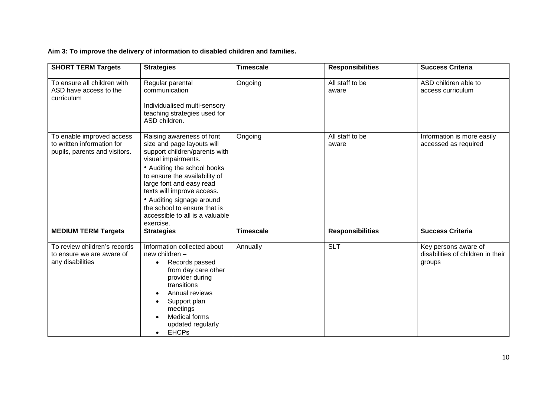# **Aim 3: To improve the delivery of information to disabled children and families.**

| <b>SHORT TERM Targets</b>                                                                | <b>Strategies</b>                                                                                                                                                                                                                                                                                                                                      | <b>Timescale</b> | <b>Responsibilities</b>  | <b>Success Criteria</b>                                             |
|------------------------------------------------------------------------------------------|--------------------------------------------------------------------------------------------------------------------------------------------------------------------------------------------------------------------------------------------------------------------------------------------------------------------------------------------------------|------------------|--------------------------|---------------------------------------------------------------------|
| To ensure all children with<br>ASD have access to the<br>curriculum                      | Regular parental<br>communication<br>Individualised multi-sensory<br>teaching strategies used for<br>ASD children.                                                                                                                                                                                                                                     | Ongoing          | All staff to be<br>aware | ASD children able to<br>access curriculum                           |
| To enable improved access<br>to written information for<br>pupils, parents and visitors. | Raising awareness of font<br>size and page layouts will<br>support children/parents with<br>visual impairments.<br>• Auditing the school books<br>to ensure the availability of<br>large font and easy read<br>texts will improve access.<br>• Auditing signage around<br>the school to ensure that is<br>accessible to all is a valuable<br>exercise. | Ongoing          | All staff to be<br>aware | Information is more easily<br>accessed as required                  |
| <b>MEDIUM TERM Targets</b>                                                               | <b>Strategies</b>                                                                                                                                                                                                                                                                                                                                      | <b>Timescale</b> | <b>Responsibilities</b>  | <b>Success Criteria</b>                                             |
| To review children's records<br>to ensure we are aware of<br>any disabilities            | Information collected about<br>new children -<br>Records passed<br>$\bullet$<br>from day care other<br>provider during<br>transitions<br>Annual reviews<br>Support plan<br>meetings<br><b>Medical forms</b><br>updated regularly<br><b>EHCPs</b><br>$\bullet$                                                                                          | Annually         | <b>SLT</b>               | Key persons aware of<br>disabilities of children in their<br>groups |